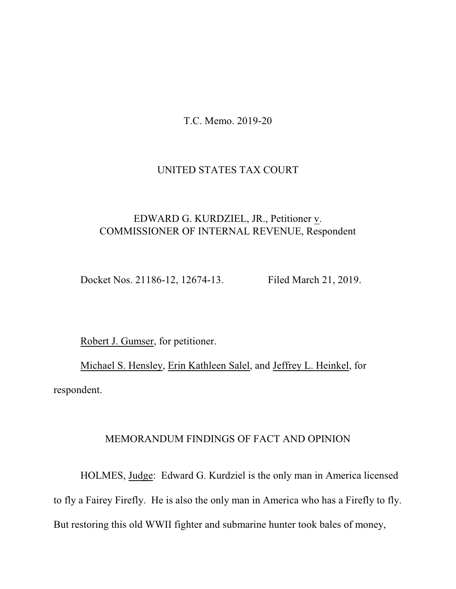T.C. Memo. 2019-20

### UNITED STATES TAX COURT

# EDWARD G. KURDZIEL, JR., Petitioner v. COMMISSIONER OF INTERNAL REVENUE, Respondent

Docket Nos. 21186-12, 12674-13. Filed March 21, 2019.

Robert J. Gumser, for petitioner.

Michael S. Hensley, Erin Kathleen Salel, and Jeffrey L. Heinkel, for respondent.

## MEMORANDUM FINDINGS OF FACT AND OPINION

HOLMES, Judge: Edward G. Kurdziel is the only man in America licensed to fly a Fairey Firefly. He is also the only man in America who has a Firefly to fly. But restoring this old WWII fighter and submarine hunter took bales of money,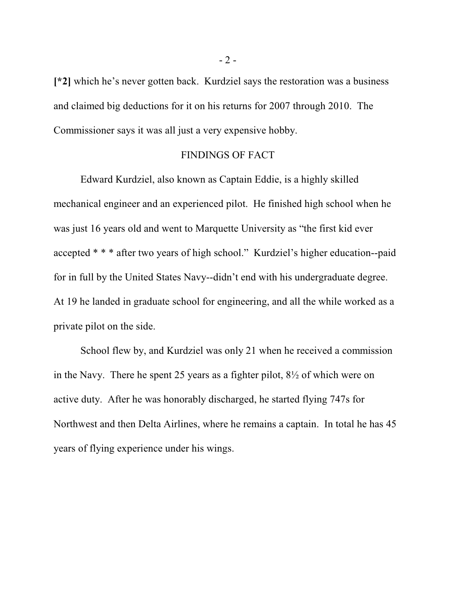**[\*2]** which he's never gotten back. Kurdziel says the restoration was a business and claimed big deductions for it on his returns for 2007 through 2010. The Commissioner says it was all just a very expensive hobby.

#### FINDINGS OF FACT

Edward Kurdziel, also known as Captain Eddie, is a highly skilled mechanical engineer and an experienced pilot. He finished high school when he was just 16 years old and went to Marquette University as "the first kid ever accepted \* \* \* after two years of high school." Kurdziel's higher education--paid for in full by the United States Navy--didn't end with his undergraduate degree. At 19 he landed in graduate school for engineering, and all the while worked as a private pilot on the side.

School flew by, and Kurdziel was only 21 when he received a commission in the Navy. There he spent 25 years as a fighter pilot, 8½ of which were on active duty. After he was honorably discharged, he started flying 747s for Northwest and then Delta Airlines, where he remains a captain. In total he has 45 years of flying experience under his wings.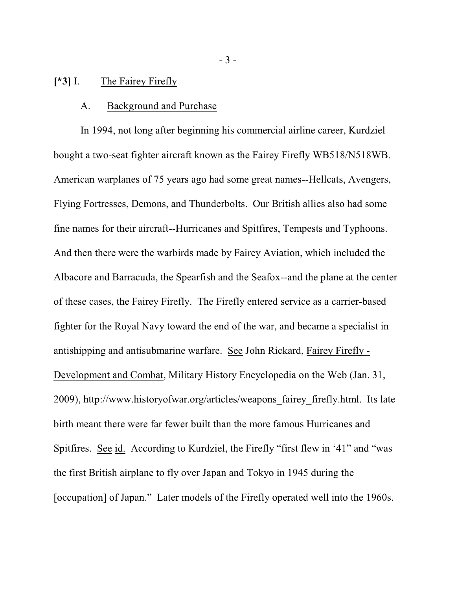### **[\*3]** I. The Fairey Firefly

#### A. Background and Purchase

In 1994, not long after beginning his commercial airline career, Kurdziel bought a two-seat fighter aircraft known as the Fairey Firefly WB518/N518WB. American warplanes of 75 years ago had some great names--Hellcats, Avengers, Flying Fortresses, Demons, and Thunderbolts. Our British allies also had some fine names for their aircraft--Hurricanes and Spitfires, Tempests and Typhoons. And then there were the warbirds made by Fairey Aviation, which included the Albacore and Barracuda, the Spearfish and the Seafox--and the plane at the center of these cases, the Fairey Firefly. The Firefly entered service as a carrier-based fighter for the Royal Navy toward the end of the war, and became a specialist in antishipping and antisubmarine warfare. See John Rickard, Fairey Firefly - Development and Combat, Military History Encyclopedia on the Web (Jan. 31, 2009), http://www.historyofwar.org/articles/weapons\_fairey\_firefly.html. Its late birth meant there were far fewer built than the more famous Hurricanes and Spitfires. See id. According to Kurdziel, the Firefly "first flew in '41" and "was the first British airplane to fly over Japan and Tokyo in 1945 during the [occupation] of Japan." Later models of the Firefly operated well into the 1960s.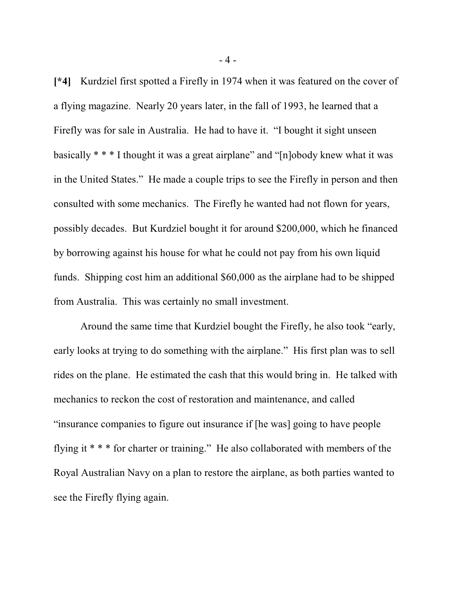**[\*4]** Kurdziel first spotted a Firefly in 1974 when it was featured on the cover of a flying magazine. Nearly 20 years later, in the fall of 1993, he learned that a Firefly was for sale in Australia. He had to have it. "I bought it sight unseen basically \* \* \* I thought it was a great airplane" and "[n]obody knew what it was in the United States." He made a couple trips to see the Firefly in person and then consulted with some mechanics. The Firefly he wanted had not flown for years, possibly decades. But Kurdziel bought it for around \$200,000, which he financed by borrowing against his house for what he could not pay from his own liquid funds. Shipping cost him an additional \$60,000 as the airplane had to be shipped from Australia. This was certainly no small investment.

Around the same time that Kurdziel bought the Firefly, he also took "early, early looks at trying to do something with the airplane." His first plan was to sell rides on the plane. He estimated the cash that this would bring in. He talked with mechanics to reckon the cost of restoration and maintenance, and called "insurance companies to figure out insurance if [he was] going to have people flying it \* \* \* for charter or training." He also collaborated with members of the Royal Australian Navy on a plan to restore the airplane, as both parties wanted to see the Firefly flying again.

- 4 -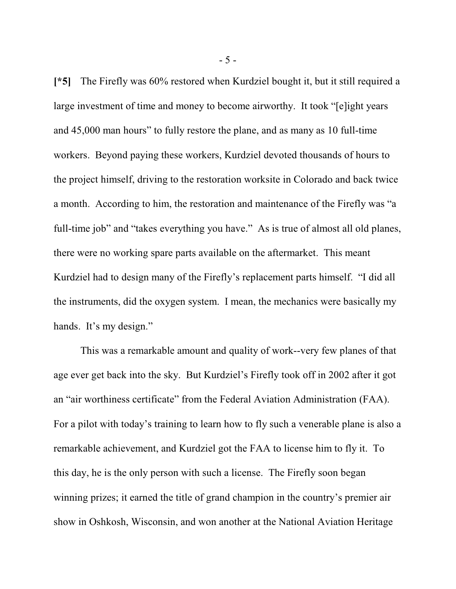**[\*5]** The Firefly was 60% restored when Kurdziel bought it, but it still required a large investment of time and money to become airworthy. It took "[e]ight years and 45,000 man hours" to fully restore the plane, and as many as 10 full-time workers. Beyond paying these workers, Kurdziel devoted thousands of hours to the project himself, driving to the restoration worksite in Colorado and back twice a month. According to him, the restoration and maintenance of the Firefly was "a full-time job" and "takes everything you have." As is true of almost all old planes, there were no working spare parts available on the aftermarket. This meant Kurdziel had to design many of the Firefly's replacement parts himself. "I did all the instruments, did the oxygen system. I mean, the mechanics were basically my hands. It's my design."

This was a remarkable amount and quality of work--very few planes of that age ever get back into the sky. But Kurdziel's Firefly took off in 2002 after it got an "air worthiness certificate" from the Federal Aviation Administration (FAA). For a pilot with today's training to learn how to fly such a venerable plane is also a remarkable achievement, and Kurdziel got the FAA to license him to fly it. To this day, he is the only person with such a license. The Firefly soon began winning prizes; it earned the title of grand champion in the country's premier air show in Oshkosh, Wisconsin, and won another at the National Aviation Heritage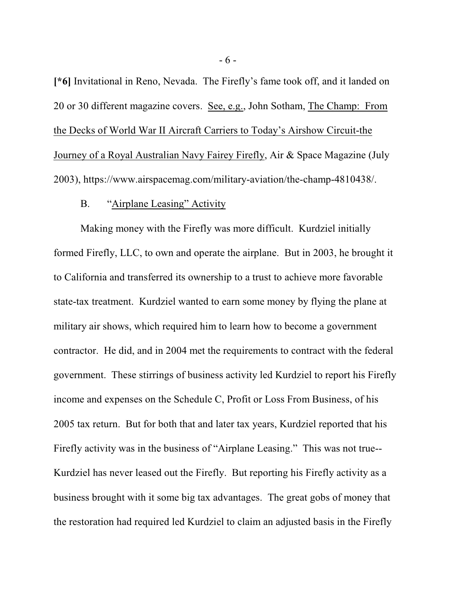**[\*6]** Invitational in Reno, Nevada. The Firefly's fame took off, and it landed on 20 or 30 different magazine covers. See, e.g., John Sotham, The Champ: From the Decks of World War II Aircraft Carriers to Today's Airshow Circuit-the Journey of a Royal Australian Navy Fairey Firefly, Air & Space Magazine (July 2003), https://www.airspacemag.com/military-aviation/the-champ-4810438/.

## B. "Airplane Leasing" Activity

Making money with the Firefly was more difficult. Kurdziel initially formed Firefly, LLC, to own and operate the airplane. But in 2003, he brought it to California and transferred its ownership to a trust to achieve more favorable state-tax treatment. Kurdziel wanted to earn some money by flying the plane at military air shows, which required him to learn how to become a government contractor. He did, and in 2004 met the requirements to contract with the federal government. These stirrings of business activity led Kurdziel to report his Firefly income and expenses on the Schedule C, Profit or Loss From Business, of his 2005 tax return. But for both that and later tax years, Kurdziel reported that his Firefly activity was in the business of "Airplane Leasing." This was not true-- Kurdziel has never leased out the Firefly. But reporting his Firefly activity as a business brought with it some big tax advantages. The great gobs of money that the restoration had required led Kurdziel to claim an adjusted basis in the Firefly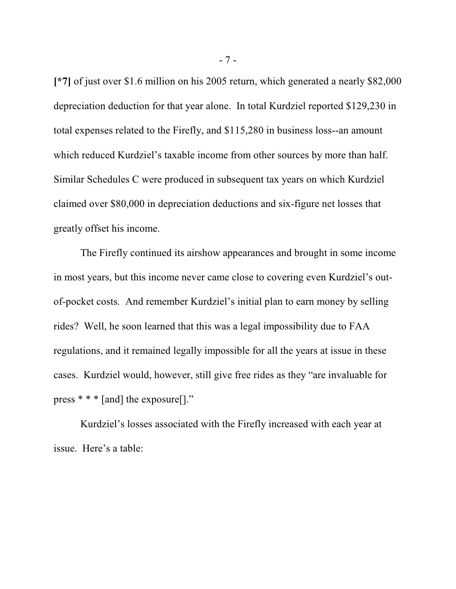**[\*7]** of just over \$1.6 million on his 2005 return, which generated a nearly \$82,000 depreciation deduction for that year alone. In total Kurdziel reported \$129,230 in total expenses related to the Firefly, and \$115,280 in business loss--an amount which reduced Kurdziel's taxable income from other sources by more than half. Similar Schedules C were produced in subsequent tax years on which Kurdziel claimed over \$80,000 in depreciation deductions and six-figure net losses that greatly offset his income.

The Firefly continued its airshow appearances and brought in some income in most years, but this income never came close to covering even Kurdziel's outof-pocket costs. And remember Kurdziel's initial plan to earn money by selling rides? Well, he soon learned that this was a legal impossibility due to FAA regulations, and it remained legally impossible for all the years at issue in these cases. Kurdziel would, however, still give free rides as they "are invaluable for press \* \* \* [and] the exposure[]."

Kurdziel's losses associated with the Firefly increased with each year at issue. Here's a table: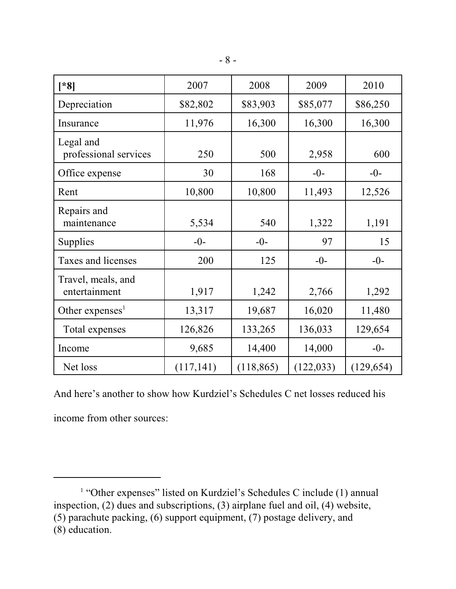| $[*8]$                              | 2007       | 2008       | 2009       | 2010       |
|-------------------------------------|------------|------------|------------|------------|
| Depreciation                        | \$82,802   | \$83,903   | \$85,077   | \$86,250   |
| Insurance                           | 11,976     | 16,300     | 16,300     | 16,300     |
| Legal and<br>professional services  | 250        | 500        | 2,958      | 600        |
| Office expense                      | 30         | 168        | $-0-$      | $-0-$      |
| Rent                                | 10,800     | 10,800     | 11,493     | 12,526     |
| Repairs and<br>maintenance          | 5,534      | 540        | 1,322      | 1,191      |
| Supplies                            | $-0-$      | $-0-$      | 97         | 15         |
| Taxes and licenses                  | 200        | 125        | $-0-$      | $-0-$      |
| Travel, meals, and<br>entertainment | 1,917      | 1,242      | 2,766      | 1,292      |
| Other expenses $1$                  | 13,317     | 19,687     | 16,020     | 11,480     |
| Total expenses                      | 126,826    | 133,265    | 136,033    | 129,654    |
| Income                              | 9,685      | 14,400     | 14,000     | $-0-$      |
| Net loss                            | (117, 141) | (118, 865) | (122, 033) | (129, 654) |

And here's another to show how Kurdziel's Schedules C net losses reduced his

income from other sources:

<sup>&</sup>lt;sup>1</sup> "Other expenses" listed on Kurdziel's Schedules C include (1) annual inspection, (2) dues and subscriptions, (3) airplane fuel and oil, (4) website, (5) parachute packing, (6) support equipment, (7) postage delivery, and (8) education.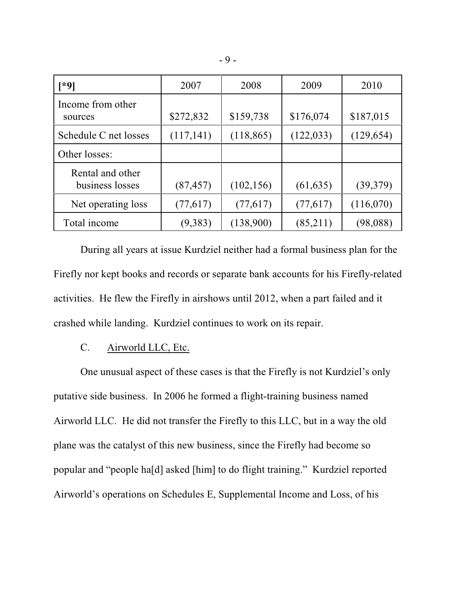| [*9]                                | 2007       | 2008       | 2009       | 2010       |
|-------------------------------------|------------|------------|------------|------------|
| Income from other<br>sources        | \$272,832  | \$159,738  | \$176,074  | \$187,015  |
| Schedule C net losses               | (117, 141) | (118, 865) | (122, 033) | (129, 654) |
| Other losses:                       |            |            |            |            |
| Rental and other<br>business losses | (87, 457)  | (102, 156) | (61, 635)  | (39,379)   |
| Net operating loss                  | (77,617)   | (77,617)   | (77,617)   | (116,070)  |
| Total income                        | (9,383)    | (138,900)  | (85,211)   | (98, 088)  |

During all years at issue Kurdziel neither had a formal business plan for the Firefly nor kept books and records or separate bank accounts for his Firefly-related activities. He flew the Firefly in airshows until 2012, when a part failed and it crashed while landing. Kurdziel continues to work on its repair.

# C. Airworld LLC, Etc.

One unusual aspect of these cases is that the Firefly is not Kurdziel's only putative side business. In 2006 he formed a flight-training business named Airworld LLC. He did not transfer the Firefly to this LLC, but in a way the old plane was the catalyst of this new business, since the Firefly had become so popular and "people ha[d] asked [him] to do flight training." Kurdziel reported Airworld's operations on Schedules E, Supplemental Income and Loss, of his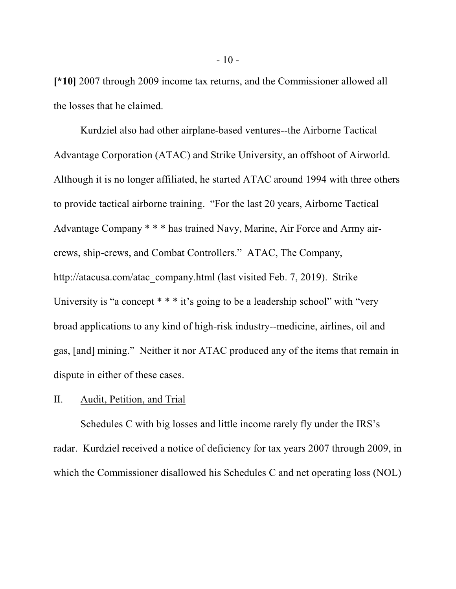**[\*10]** 2007 through 2009 income tax returns, and the Commissioner allowed all the losses that he claimed.

Kurdziel also had other airplane-based ventures--the Airborne Tactical Advantage Corporation (ATAC) and Strike University, an offshoot of Airworld. Although it is no longer affiliated, he started ATAC around 1994 with three others to provide tactical airborne training. "For the last 20 years, Airborne Tactical Advantage Company \* \* \* has trained Navy, Marine, Air Force and Army aircrews, ship-crews, and Combat Controllers." ATAC, The Company, http://atacusa.com/atac\_company.html (last visited Feb. 7, 2019). Strike University is "a concept  $* * * it's going to be a leadership school" with "very"$ broad applications to any kind of high-risk industry--medicine, airlines, oil and gas, [and] mining." Neither it nor ATAC produced any of the items that remain in dispute in either of these cases.

#### II. Audit, Petition, and Trial

Schedules C with big losses and little income rarely fly under the IRS's radar. Kurdziel received a notice of deficiency for tax years 2007 through 2009, in which the Commissioner disallowed his Schedules C and net operating loss (NOL)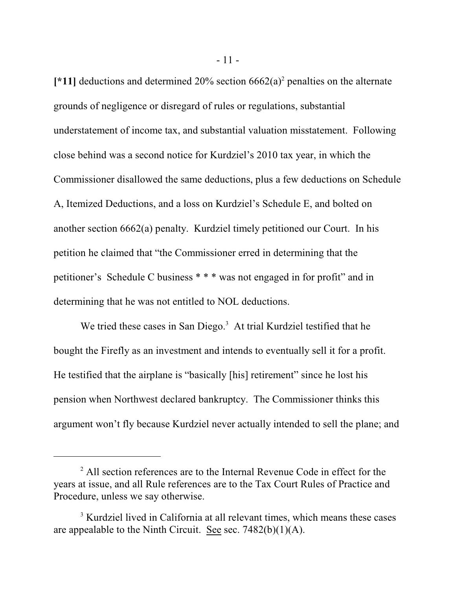[\*11] deductions and determined 20% section  $6662(a)^2$  penalties on the alternate grounds of negligence or disregard of rules or regulations, substantial understatement of income tax, and substantial valuation misstatement. Following close behind was a second notice for Kurdziel's 2010 tax year, in which the Commissioner disallowed the same deductions, plus a few deductions on Schedule A, Itemized Deductions, and a loss on Kurdziel's Schedule E, and bolted on another section 6662(a) penalty. Kurdziel timely petitioned our Court. In his petition he claimed that "the Commissioner erred in determining that the petitioner's Schedule C business \* \* \* was not engaged in for profit" and in determining that he was not entitled to NOL deductions.

We tried these cases in San Diego.<sup>3</sup> At trial Kurdziel testified that he bought the Firefly as an investment and intends to eventually sell it for a profit. He testified that the airplane is "basically [his] retirement" since he lost his pension when Northwest declared bankruptcy. The Commissioner thinks this argument won't fly because Kurdziel never actually intended to sell the plane; and

<sup>&</sup>lt;sup>2</sup> All section references are to the Internal Revenue Code in effect for the years at issue, and all Rule references are to the Tax Court Rules of Practice and Procedure, unless we say otherwise.

<sup>&</sup>lt;sup>3</sup> Kurdziel lived in California at all relevant times, which means these cases are appealable to the Ninth Circuit. See sec. 7482(b)(1)(A).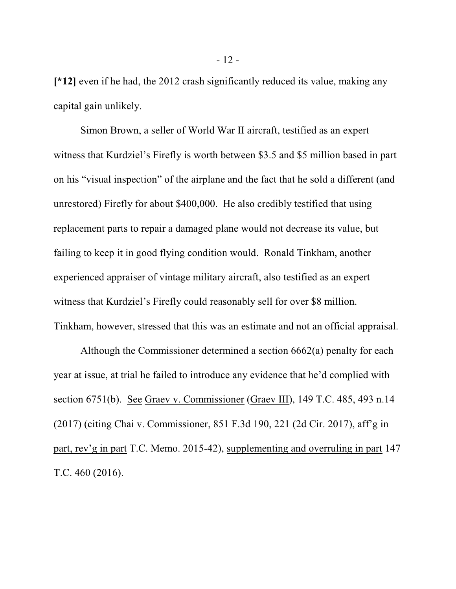**[\*12]** even if he had, the 2012 crash significantly reduced its value, making any capital gain unlikely.

Simon Brown, a seller of World War II aircraft, testified as an expert witness that Kurdziel's Firefly is worth between \$3.5 and \$5 million based in part on his "visual inspection" of the airplane and the fact that he sold a different (and unrestored) Firefly for about \$400,000. He also credibly testified that using replacement parts to repair a damaged plane would not decrease its value, but failing to keep it in good flying condition would. Ronald Tinkham, another experienced appraiser of vintage military aircraft, also testified as an expert witness that Kurdziel's Firefly could reasonably sell for over \$8 million. Tinkham, however, stressed that this was an estimate and not an official appraisal.

Although the Commissioner determined a section 6662(a) penalty for each year at issue, at trial he failed to introduce any evidence that he'd complied with section 6751(b). See Graev v. Commissioner (Graev III), 149 T.C. 485, 493 n.14 (2017) (citing Chai v. Commissioner, 851 F.3d 190, 221 (2d Cir. 2017), aff'g in part, rev'g in part T.C. Memo. 2015-42), supplementing and overruling in part 147 T.C. 460 (2016).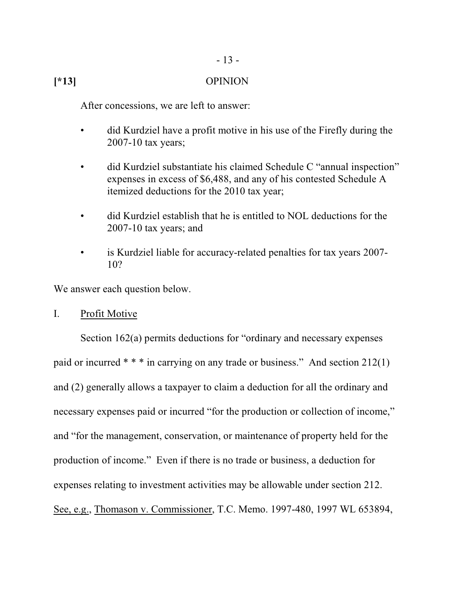## **[\*13]** OPINION

After concessions, we are left to answer:

- did Kurdziel have a profit motive in his use of the Firefly during the 2007-10 tax years;
- did Kurdziel substantiate his claimed Schedule C "annual inspection" expenses in excess of \$6,488, and any of his contested Schedule A itemized deductions for the 2010 tax year;
- did Kurdziel establish that he is entitled to NOL deductions for the 2007-10 tax years; and
- is Kurdziel liable for accuracy-related penalties for tax years 2007- 10?

We answer each question below.

## I. Profit Motive

Section 162(a) permits deductions for "ordinary and necessary expenses paid or incurred \* \* \* in carrying on any trade or business." And section 212(1) and (2) generally allows a taxpayer to claim a deduction for all the ordinary and necessary expenses paid or incurred "for the production or collection of income," and "for the management, conservation, or maintenance of property held for the production of income." Even if there is no trade or business, a deduction for expenses relating to investment activities may be allowable under section 212. See, e.g., Thomason v. Commissioner, T.C. Memo. 1997-480, 1997 WL 653894,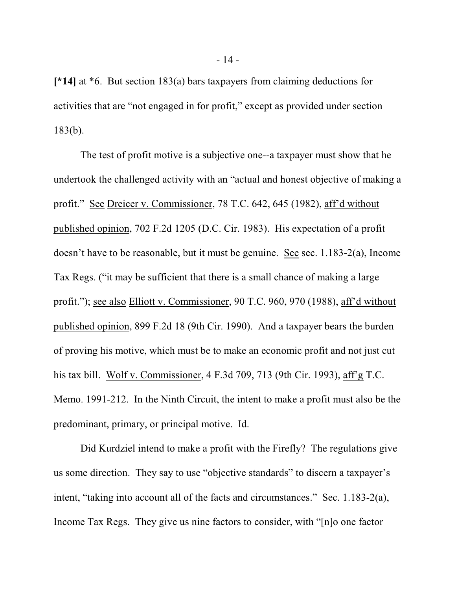**[\*14]** at \*6. But section 183(a) bars taxpayers from claiming deductions for activities that are "not engaged in for profit," except as provided under section 183(b).

The test of profit motive is a subjective one--a taxpayer must show that he undertook the challenged activity with an "actual and honest objective of making a profit." See Dreicer v. Commissioner, 78 T.C. 642, 645 (1982), aff'd without published opinion, 702 F.2d 1205 (D.C. Cir. 1983). His expectation of a profit doesn't have to be reasonable, but it must be genuine. See sec. 1.183-2(a), Income Tax Regs. ("it may be sufficient that there is a small chance of making a large profit."); see also Elliott v. Commissioner, 90 T.C. 960, 970 (1988), aff'd without published opinion, 899 F.2d 18 (9th Cir. 1990). And a taxpayer bears the burden of proving his motive, which must be to make an economic profit and not just cut his tax bill. Wolf v. Commissioner, 4 F.3d 709, 713 (9th Cir. 1993), aff'g T.C. Memo. 1991-212. In the Ninth Circuit, the intent to make a profit must also be the predominant, primary, or principal motive. Id.

Did Kurdziel intend to make a profit with the Firefly? The regulations give us some direction. They say to use "objective standards" to discern a taxpayer's intent, "taking into account all of the facts and circumstances." Sec. 1.183-2(a), Income Tax Regs. They give us nine factors to consider, with "[n]o one factor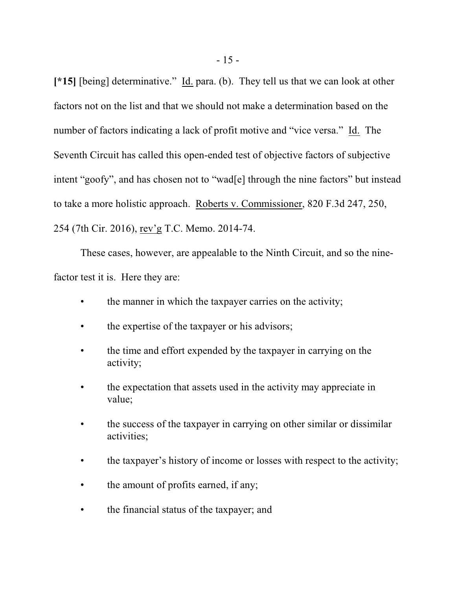**[\*15]** [being] determinative." Id. para. (b). They tell us that we can look at other factors not on the list and that we should not make a determination based on the number of factors indicating a lack of profit motive and "vice versa." Id. The Seventh Circuit has called this open-ended test of objective factors of subjective intent "goofy", and has chosen not to "wad[e] through the nine factors" but instead to take a more holistic approach. Roberts v. Commissioner, 820 F.3d 247, 250, 254 (7th Cir. 2016), rev'g T.C. Memo. 2014-74.

These cases, however, are appealable to the Ninth Circuit, and so the ninefactor test it is. Here they are:

- the manner in which the taxpayer carries on the activity;
- the expertise of the taxpayer or his advisors;
- the time and effort expended by the taxpayer in carrying on the activity;
- the expectation that assets used in the activity may appreciate in value;
- the success of the taxpayer in carrying on other similar or dissimilar activities;
- the taxpayer's history of income or losses with respect to the activity;
- the amount of profits earned, if any;
- the financial status of the taxpayer; and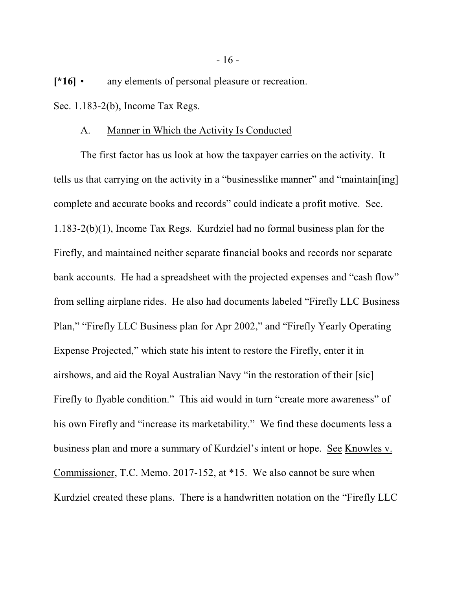**[\*16]** • any elements of personal pleasure or recreation. Sec. 1.183-2(b), Income Tax Regs.

#### A. Manner in Which the Activity Is Conducted

The first factor has us look at how the taxpayer carries on the activity. It tells us that carrying on the activity in a "businesslike manner" and "maintain[ing] complete and accurate books and records" could indicate a profit motive. Sec. 1.183-2(b)(1), Income Tax Regs. Kurdziel had no formal business plan for the Firefly, and maintained neither separate financial books and records nor separate bank accounts. He had a spreadsheet with the projected expenses and "cash flow" from selling airplane rides. He also had documents labeled "Firefly LLC Business Plan," "Firefly LLC Business plan for Apr 2002," and "Firefly Yearly Operating Expense Projected," which state his intent to restore the Firefly, enter it in airshows, and aid the Royal Australian Navy "in the restoration of their [sic] Firefly to flyable condition." This aid would in turn "create more awareness" of his own Firefly and "increase its marketability." We find these documents less a business plan and more a summary of Kurdziel's intent or hope. See Knowles v. Commissioner, T.C. Memo. 2017-152, at \*15. We also cannot be sure when Kurdziel created these plans. There is a handwritten notation on the "Firefly LLC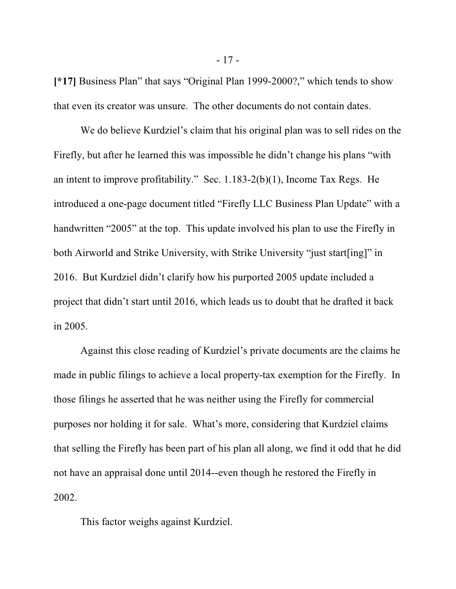**[\*17]** Business Plan" that says "Original Plan 1999-2000?," which tends to show that even its creator was unsure. The other documents do not contain dates.

We do believe Kurdziel's claim that his original plan was to sell rides on the Firefly, but after he learned this was impossible he didn't change his plans "with an intent to improve profitability." Sec. 1.183-2(b)(1), Income Tax Regs. He introduced a one-page document titled "Firefly LLC Business Plan Update" with a handwritten "2005" at the top. This update involved his plan to use the Firefly in both Airworld and Strike University, with Strike University "just start[ing]" in 2016. But Kurdziel didn't clarify how his purported 2005 update included a project that didn't start until 2016, which leads us to doubt that he drafted it back in 2005.

Against this close reading of Kurdziel's private documents are the claims he made in public filings to achieve a local property-tax exemption for the Firefly. In those filings he asserted that he was neither using the Firefly for commercial purposes nor holding it for sale. What's more, considering that Kurdziel claims that selling the Firefly has been part of his plan all along, we find it odd that he did not have an appraisal done until 2014--even though he restored the Firefly in 2002.

This factor weighs against Kurdziel.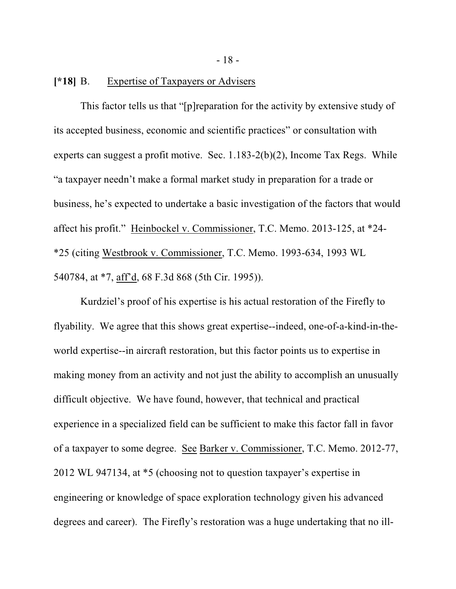**[\*18]** B. Expertise of Taxpayers or Advisers

This factor tells us that "[p]reparation for the activity by extensive study of its accepted business, economic and scientific practices" or consultation with experts can suggest a profit motive. Sec. 1.183-2(b)(2), Income Tax Regs. While "a taxpayer needn't make a formal market study in preparation for a trade or business, he's expected to undertake a basic investigation of the factors that would affect his profit." Heinbockel v. Commissioner, T.C. Memo. 2013-125, at \*24- \*25 (citing Westbrook v. Commissioner, T.C. Memo. 1993-634, 1993 WL 540784, at \*7, aff'd, 68 F.3d 868 (5th Cir. 1995)).

Kurdziel's proof of his expertise is his actual restoration of the Firefly to flyability. We agree that this shows great expertise--indeed, one-of-a-kind-in-theworld expertise--in aircraft restoration, but this factor points us to expertise in making money from an activity and not just the ability to accomplish an unusually difficult objective. We have found, however, that technical and practical experience in a specialized field can be sufficient to make this factor fall in favor of a taxpayer to some degree. See Barker v. Commissioner, T.C. Memo. 2012-77, 2012 WL 947134, at \*5 (choosing not to question taxpayer's expertise in engineering or knowledge of space exploration technology given his advanced degrees and career). The Firefly's restoration was a huge undertaking that no ill-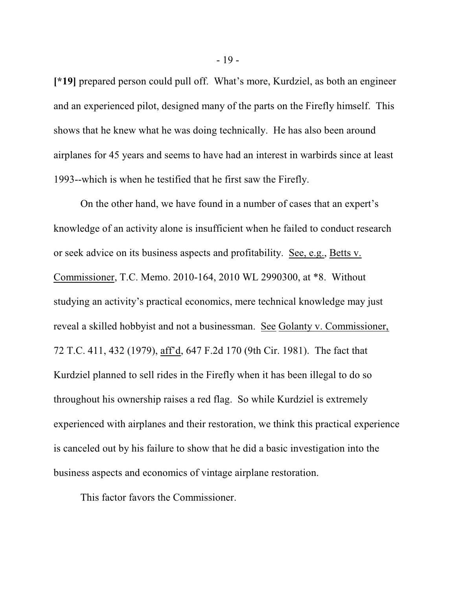**[\*19]** prepared person could pull off. What's more, Kurdziel, as both an engineer and an experienced pilot, designed many of the parts on the Firefly himself. This shows that he knew what he was doing technically. He has also been around airplanes for 45 years and seems to have had an interest in warbirds since at least 1993--which is when he testified that he first saw the Firefly.

On the other hand, we have found in a number of cases that an expert's knowledge of an activity alone is insufficient when he failed to conduct research or seek advice on its business aspects and profitability. See, e.g., Betts v. Commissioner, T.C. Memo. 2010-164, 2010 WL 2990300, at \*8. Without studying an activity's practical economics, mere technical knowledge may just reveal a skilled hobbyist and not a businessman. See Golanty v. Commissioner, 72 T.C. 411, 432 (1979), aff'd, 647 F.2d 170 (9th Cir. 1981). The fact that Kurdziel planned to sell rides in the Firefly when it has been illegal to do so throughout his ownership raises a red flag. So while Kurdziel is extremely experienced with airplanes and their restoration, we think this practical experience is canceled out by his failure to show that he did a basic investigation into the business aspects and economics of vintage airplane restoration.

This factor favors the Commissioner.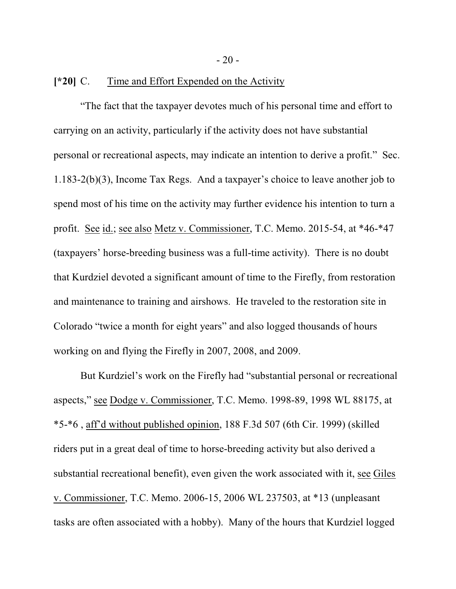$-20-$ 

#### **[\*20]** C. Time and Effort Expended on the Activity

"The fact that the taxpayer devotes much of his personal time and effort to carrying on an activity, particularly if the activity does not have substantial personal or recreational aspects, may indicate an intention to derive a profit." Sec. 1.183-2(b)(3), Income Tax Regs. And a taxpayer's choice to leave another job to spend most of his time on the activity may further evidence his intention to turn a profit. See id.; see also Metz v. Commissioner, T.C. Memo. 2015-54, at \*46-\*47 (taxpayers' horse-breeding business was a full-time activity). There is no doubt that Kurdziel devoted a significant amount of time to the Firefly, from restoration and maintenance to training and airshows. He traveled to the restoration site in Colorado "twice a month for eight years" and also logged thousands of hours working on and flying the Firefly in 2007, 2008, and 2009.

But Kurdziel's work on the Firefly had "substantial personal or recreational aspects," see Dodge v. Commissioner, T.C. Memo. 1998-89, 1998 WL 88175, at \*5-\*6 , aff'd without published opinion, 188 F.3d 507 (6th Cir. 1999) (skilled riders put in a great deal of time to horse-breeding activity but also derived a substantial recreational benefit), even given the work associated with it, see Giles v. Commissioner, T.C. Memo. 2006-15, 2006 WL 237503, at \*13 (unpleasant tasks are often associated with a hobby). Many of the hours that Kurdziel logged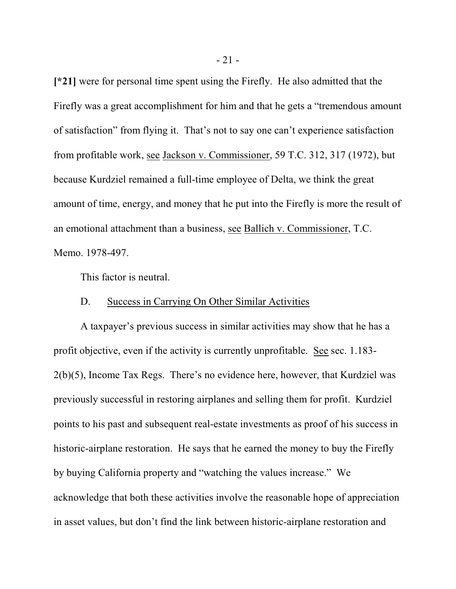**[\*21]** were for personal time spent using the Firefly. He also admitted that the Firefly was a great accomplishment for him and that he gets a "tremendous amount of satisfaction" from flying it. That's not to say one can't experience satisfaction from profitable work, see Jackson v. Commissioner, 59 T.C. 312, 317 (1972), but because Kurdziel remained a full-time employee of Delta, we think the great amount of time, energy, and money that he put into the Firefly is more the result of an emotional attachment than a business, see Ballich v. Commissioner, T.C. Memo. 1978-497.

This factor is neutral.

#### D. Success in Carrying On Other Similar Activities

A taxpayer's previous success in similar activities may show that he has a profit objective, even if the activity is currently unprofitable. See sec. 1.183- 2(b)(5), Income Tax Regs. There's no evidence here, however, that Kurdziel was previously successful in restoring airplanes and selling them for profit. Kurdziel points to his past and subsequent real-estate investments as proof of his success in historic-airplane restoration. He says that he earned the money to buy the Firefly by buying California property and "watching the values increase." We acknowledge that both these activities involve the reasonable hope of appreciation in asset values, but don't find the link between historic-airplane restoration and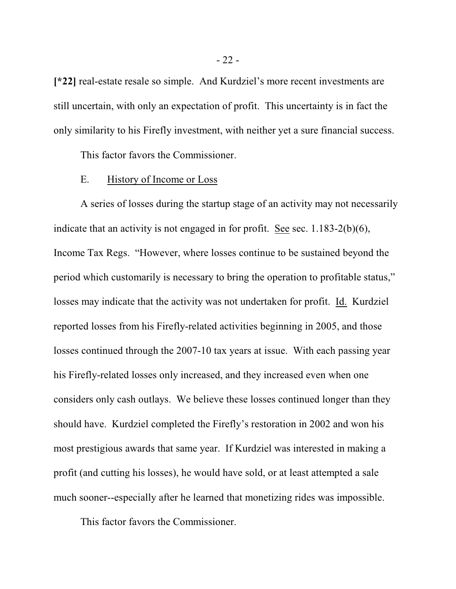**[\*22]** real-estate resale so simple. And Kurdziel's more recent investments are still uncertain, with only an expectation of profit. This uncertainty is in fact the only similarity to his Firefly investment, with neither yet a sure financial success.

This factor favors the Commissioner.

#### E. History of Income or Loss

A series of losses during the startup stage of an activity may not necessarily indicate that an activity is not engaged in for profit. See sec. 1.183-2(b)(6), Income Tax Regs. "However, where losses continue to be sustained beyond the period which customarily is necessary to bring the operation to profitable status," losses may indicate that the activity was not undertaken for profit. Id. Kurdziel reported losses from his Firefly-related activities beginning in 2005, and those losses continued through the 2007-10 tax years at issue. With each passing year his Firefly-related losses only increased, and they increased even when one considers only cash outlays. We believe these losses continued longer than they should have. Kurdziel completed the Firefly's restoration in 2002 and won his most prestigious awards that same year. If Kurdziel was interested in making a profit (and cutting his losses), he would have sold, or at least attempted a sale much sooner--especially after he learned that monetizing rides was impossible.

This factor favors the Commissioner.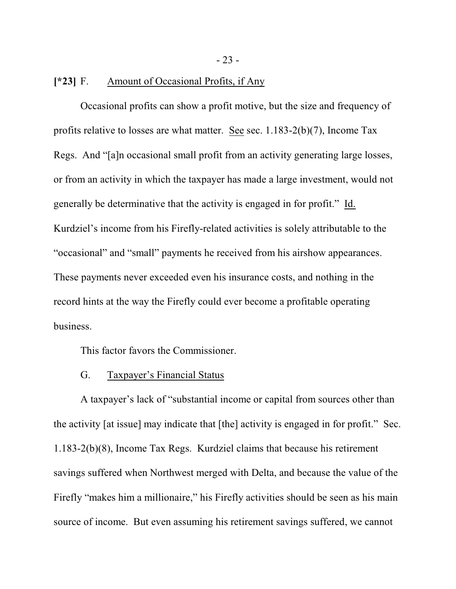- 23 -

#### **[\*23]** F. Amount of Occasional Profits, if Any

Occasional profits can show a profit motive, but the size and frequency of profits relative to losses are what matter. See sec. 1.183-2(b)(7), Income Tax Regs. And "[a]n occasional small profit from an activity generating large losses, or from an activity in which the taxpayer has made a large investment, would not generally be determinative that the activity is engaged in for profit." Id. Kurdziel's income from his Firefly-related activities is solely attributable to the "occasional" and "small" payments he received from his airshow appearances. These payments never exceeded even his insurance costs, and nothing in the record hints at the way the Firefly could ever become a profitable operating business.

This factor favors the Commissioner.

#### G. Taxpayer's Financial Status

A taxpayer's lack of "substantial income or capital from sources other than the activity [at issue] may indicate that [the] activity is engaged in for profit." Sec. 1.183-2(b)(8), Income Tax Regs. Kurdziel claims that because his retirement savings suffered when Northwest merged with Delta, and because the value of the Firefly "makes him a millionaire," his Firefly activities should be seen as his main source of income. But even assuming his retirement savings suffered, we cannot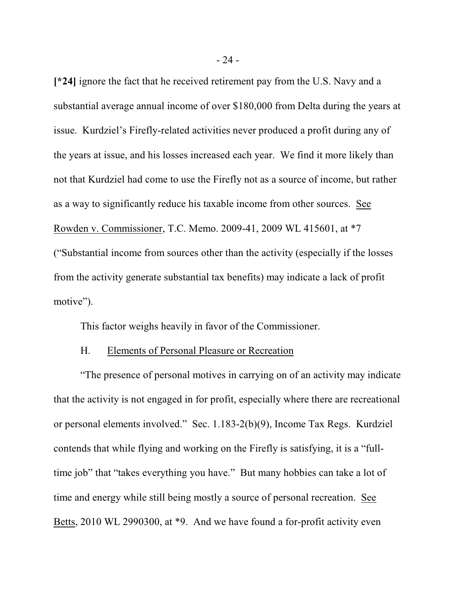**[\*24]** ignore the fact that he received retirement pay from the U.S. Navy and a substantial average annual income of over \$180,000 from Delta during the years at issue. Kurdziel's Firefly-related activities never produced a profit during any of the years at issue, and his losses increased each year. We find it more likely than not that Kurdziel had come to use the Firefly not as a source of income, but rather as a way to significantly reduce his taxable income from other sources. See Rowden v. Commissioner, T.C. Memo. 2009-41, 2009 WL 415601, at \*7 ("Substantial income from sources other than the activity (especially if the losses from the activity generate substantial tax benefits) may indicate a lack of profit motive").

This factor weighs heavily in favor of the Commissioner.

## H. Elements of Personal Pleasure or Recreation

"The presence of personal motives in carrying on of an activity may indicate that the activity is not engaged in for profit, especially where there are recreational or personal elements involved." Sec. 1.183-2(b)(9), Income Tax Regs. Kurdziel contends that while flying and working on the Firefly is satisfying, it is a "fulltime job" that "takes everything you have." But many hobbies can take a lot of time and energy while still being mostly a source of personal recreation. See Betts, 2010 WL 2990300, at \*9. And we have found a for-profit activity even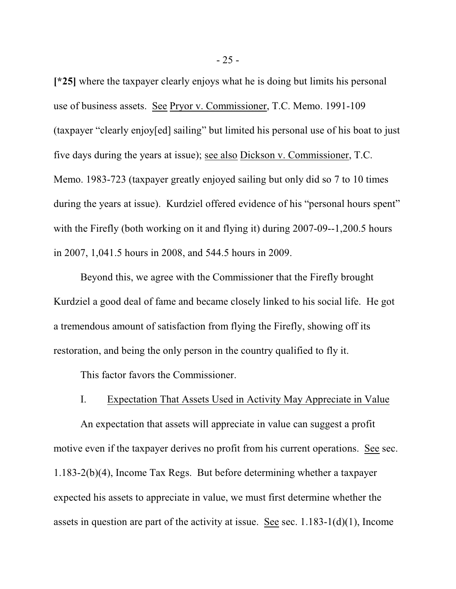**[\*25]** where the taxpayer clearly enjoys what he is doing but limits his personal use of business assets. See Pryor v. Commissioner, T.C. Memo. 1991-109 (taxpayer "clearly enjoy[ed] sailing" but limited his personal use of his boat to just five days during the years at issue); see also Dickson v. Commissioner, T.C. Memo. 1983-723 (taxpayer greatly enjoyed sailing but only did so 7 to 10 times during the years at issue). Kurdziel offered evidence of his "personal hours spent" with the Firefly (both working on it and flying it) during 2007-09--1,200.5 hours in 2007, 1,041.5 hours in 2008, and 544.5 hours in 2009.

Beyond this, we agree with the Commissioner that the Firefly brought Kurdziel a good deal of fame and became closely linked to his social life. He got a tremendous amount of satisfaction from flying the Firefly, showing off its restoration, and being the only person in the country qualified to fly it.

This factor favors the Commissioner.

#### I. Expectation That Assets Used in Activity May Appreciate in Value

An expectation that assets will appreciate in value can suggest a profit motive even if the taxpayer derives no profit from his current operations. See sec. 1.183-2(b)(4), Income Tax Regs. But before determining whether a taxpayer expected his assets to appreciate in value, we must first determine whether the assets in question are part of the activity at issue. See sec. 1.183-1(d)(1), Income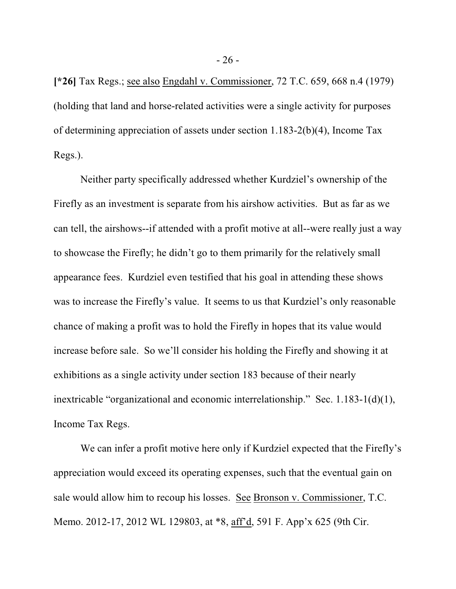**[\*26]** Tax Regs.; see also Engdahl v. Commissioner, 72 T.C. 659, 668 n.4 (1979) (holding that land and horse-related activities were a single activity for purposes of determining appreciation of assets under section 1.183-2(b)(4), Income Tax Regs.).

Neither party specifically addressed whether Kurdziel's ownership of the Firefly as an investment is separate from his airshow activities. But as far as we can tell, the airshows--if attended with a profit motive at all--were really just a way to showcase the Firefly; he didn't go to them primarily for the relatively small appearance fees. Kurdziel even testified that his goal in attending these shows was to increase the Firefly's value. It seems to us that Kurdziel's only reasonable chance of making a profit was to hold the Firefly in hopes that its value would increase before sale. So we'll consider his holding the Firefly and showing it at exhibitions as a single activity under section 183 because of their nearly inextricable "organizational and economic interrelationship." Sec. 1.183-1(d)(1), Income Tax Regs.

We can infer a profit motive here only if Kurdziel expected that the Firefly's appreciation would exceed its operating expenses, such that the eventual gain on sale would allow him to recoup his losses. See Bronson v. Commissioner, T.C. Memo. 2012-17, 2012 WL 129803, at \*8, aff'd, 591 F. App'x 625 (9th Cir.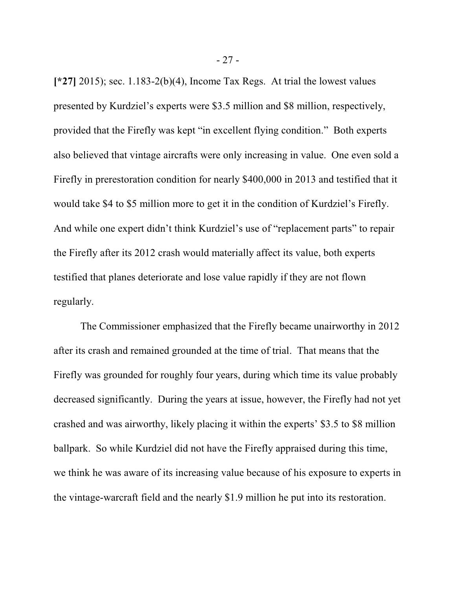**[\*27]** 2015); sec. 1.183-2(b)(4), Income Tax Regs. At trial the lowest values presented by Kurdziel's experts were \$3.5 million and \$8 million, respectively, provided that the Firefly was kept "in excellent flying condition." Both experts also believed that vintage aircrafts were only increasing in value. One even sold a Firefly in prerestoration condition for nearly \$400,000 in 2013 and testified that it would take \$4 to \$5 million more to get it in the condition of Kurdziel's Firefly. And while one expert didn't think Kurdziel's use of "replacement parts" to repair the Firefly after its 2012 crash would materially affect its value, both experts testified that planes deteriorate and lose value rapidly if they are not flown regularly.

The Commissioner emphasized that the Firefly became unairworthy in 2012 after its crash and remained grounded at the time of trial. That means that the Firefly was grounded for roughly four years, during which time its value probably decreased significantly. During the years at issue, however, the Firefly had not yet crashed and was airworthy, likely placing it within the experts' \$3.5 to \$8 million ballpark. So while Kurdziel did not have the Firefly appraised during this time, we think he was aware of its increasing value because of his exposure to experts in the vintage-warcraft field and the nearly \$1.9 million he put into its restoration.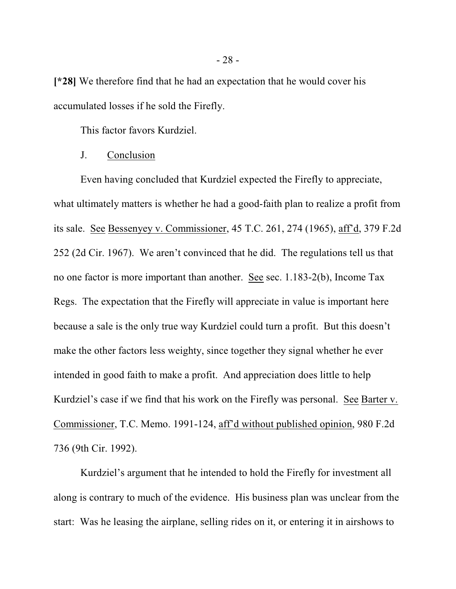**[\*28]** We therefore find that he had an expectation that he would cover his accumulated losses if he sold the Firefly.

This factor favors Kurdziel.

#### J. Conclusion

Even having concluded that Kurdziel expected the Firefly to appreciate, what ultimately matters is whether he had a good-faith plan to realize a profit from its sale. See Bessenyey v. Commissioner, 45 T.C. 261, 274 (1965), aff'd, 379 F.2d 252 (2d Cir. 1967). We aren't convinced that he did. The regulations tell us that no one factor is more important than another. See sec. 1.183-2(b), Income Tax Regs. The expectation that the Firefly will appreciate in value is important here because a sale is the only true way Kurdziel could turn a profit. But this doesn't make the other factors less weighty, since together they signal whether he ever intended in good faith to make a profit. And appreciation does little to help Kurdziel's case if we find that his work on the Firefly was personal. See Barter v. Commissioner, T.C. Memo. 1991-124, aff'd without published opinion, 980 F.2d 736 (9th Cir. 1992).

Kurdziel's argument that he intended to hold the Firefly for investment all along is contrary to much of the evidence. His business plan was unclear from the start: Was he leasing the airplane, selling rides on it, or entering it in airshows to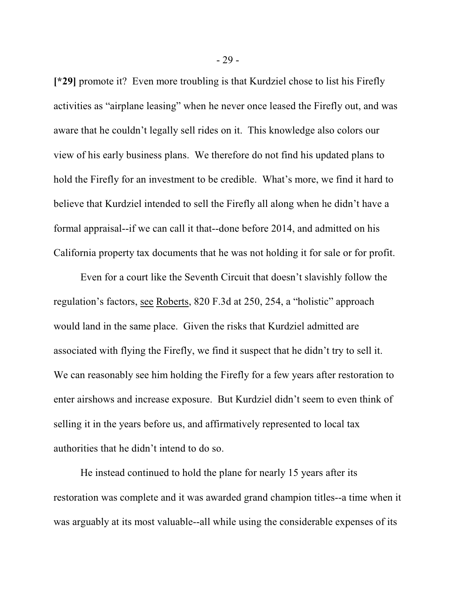**[\*29]** promote it? Even more troubling is that Kurdziel chose to list his Firefly activities as "airplane leasing" when he never once leased the Firefly out, and was aware that he couldn't legally sell rides on it. This knowledge also colors our view of his early business plans. We therefore do not find his updated plans to hold the Firefly for an investment to be credible. What's more, we find it hard to believe that Kurdziel intended to sell the Firefly all along when he didn't have a formal appraisal--if we can call it that--done before 2014, and admitted on his California property tax documents that he was not holding it for sale or for profit.

Even for a court like the Seventh Circuit that doesn't slavishly follow the regulation's factors, see Roberts, 820 F.3d at 250, 254, a "holistic" approach would land in the same place. Given the risks that Kurdziel admitted are associated with flying the Firefly, we find it suspect that he didn't try to sell it. We can reasonably see him holding the Firefly for a few years after restoration to enter airshows and increase exposure. But Kurdziel didn't seem to even think of selling it in the years before us, and affirmatively represented to local tax authorities that he didn't intend to do so.

He instead continued to hold the plane for nearly 15 years after its restoration was complete and it was awarded grand champion titles--a time when it was arguably at its most valuable--all while using the considerable expenses of its

- 29 -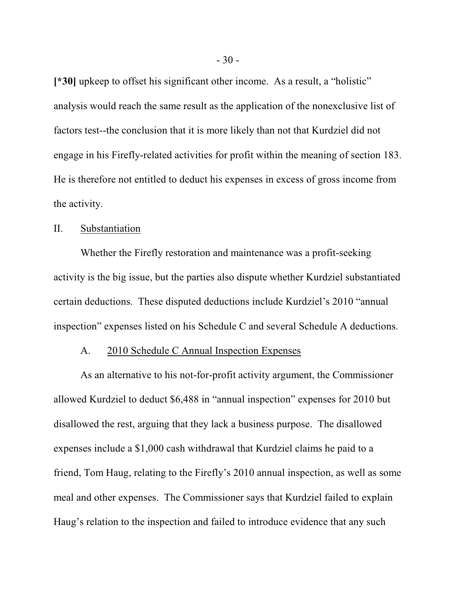**[\*30]** upkeep to offset his significant other income. As a result, a "holistic" analysis would reach the same result as the application of the nonexclusive list of factors test--the conclusion that it is more likely than not that Kurdziel did not engage in his Firefly-related activities for profit within the meaning of section 183. He is therefore not entitled to deduct his expenses in excess of gross income from the activity.

#### II. Substantiation

Whether the Firefly restoration and maintenance was a profit-seeking activity is the big issue, but the parties also dispute whether Kurdziel substantiated certain deductions. These disputed deductions include Kurdziel's 2010 "annual inspection" expenses listed on his Schedule C and several Schedule A deductions.

## A. 2010 Schedule C Annual Inspection Expenses

As an alternative to his not-for-profit activity argument, the Commissioner allowed Kurdziel to deduct \$6,488 in "annual inspection" expenses for 2010 but disallowed the rest, arguing that they lack a business purpose. The disallowed expenses include a \$1,000 cash withdrawal that Kurdziel claims he paid to a friend, Tom Haug, relating to the Firefly's 2010 annual inspection, as well as some meal and other expenses. The Commissioner says that Kurdziel failed to explain Haug's relation to the inspection and failed to introduce evidence that any such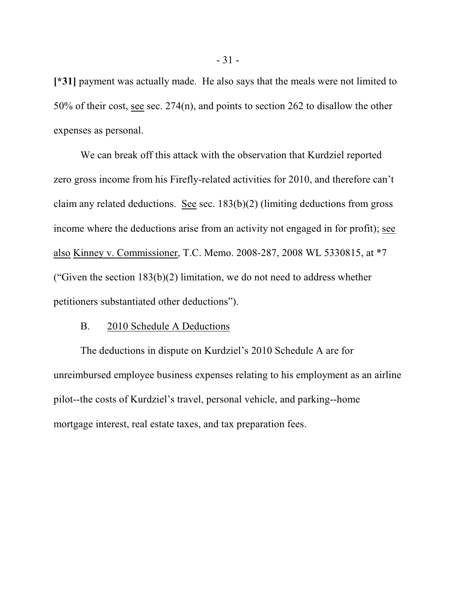**[\*31]** payment was actually made. He also says that the meals were not limited to 50% of their cost, see sec. 274(n), and points to section 262 to disallow the other expenses as personal.

We can break off this attack with the observation that Kurdziel reported zero gross income from his Firefly-related activities for 2010, and therefore can't claim any related deductions. See sec.  $183(b)(2)$  (limiting deductions from gross income where the deductions arise from an activity not engaged in for profit); see also Kinney v. Commissioner, T.C. Memo. 2008-287, 2008 WL 5330815, at \*7 ("Given the section  $183(b)(2)$  limitation, we do not need to address whether petitioners substantiated other deductions").

#### B. 2010 Schedule A Deductions

The deductions in dispute on Kurdziel's 2010 Schedule A are for unreimbursed employee business expenses relating to his employment as an airline pilot--the costs of Kurdziel's travel, personal vehicle, and parking--home mortgage interest, real estate taxes, and tax preparation fees.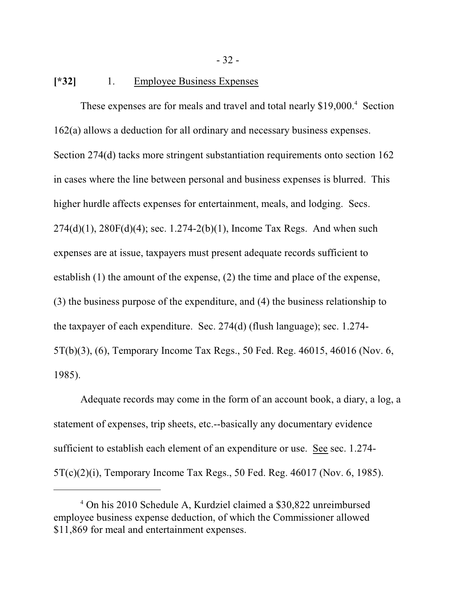#### **[\*32]** 1. Employee Business Expenses

These expenses are for meals and travel and total nearly \$19,000.<sup>4</sup> Section 162(a) allows a deduction for all ordinary and necessary business expenses. Section 274(d) tacks more stringent substantiation requirements onto section 162 in cases where the line between personal and business expenses is blurred. This higher hurdle affects expenses for entertainment, meals, and lodging. Secs.  $274(d)(1)$ ,  $280F(d)(4)$ ; sec.  $1.274-2(b)(1)$ , Income Tax Regs. And when such expenses are at issue, taxpayers must present adequate records sufficient to establish (1) the amount of the expense, (2) the time and place of the expense, (3) the business purpose of the expenditure, and (4) the business relationship to the taxpayer of each expenditure. Sec. 274(d) (flush language); sec. 1.274- 5T(b)(3), (6), Temporary Income Tax Regs., 50 Fed. Reg. 46015, 46016 (Nov. 6, 1985).

Adequate records may come in the form of an account book, a diary, a log, a statement of expenses, trip sheets, etc.--basically any documentary evidence sufficient to establish each element of an expenditure or use. See sec. 1.274- 5T(c)(2)(i), Temporary Income Tax Regs., 50 Fed. Reg. 46017 (Nov. 6, 1985).

<sup>4</sup> On his 2010 Schedule A, Kurdziel claimed a \$30,822 unreimbursed employee business expense deduction, of which the Commissioner allowed \$11,869 for meal and entertainment expenses.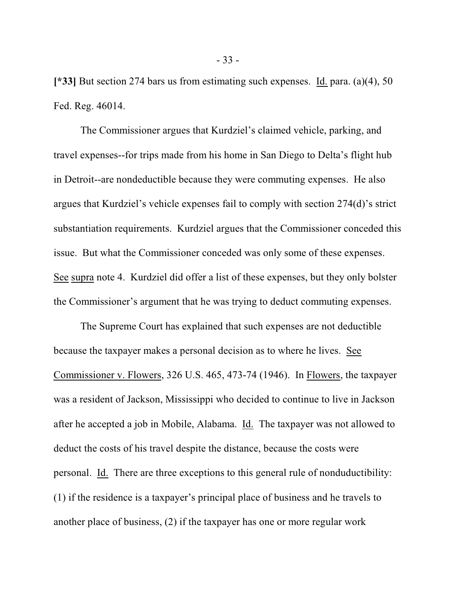**[\*33]** But section 274 bars us from estimating such expenses. Id. para. (a)(4), 50 Fed. Reg. 46014.

The Commissioner argues that Kurdziel's claimed vehicle, parking, and travel expenses--for trips made from his home in San Diego to Delta's flight hub in Detroit--are nondeductible because they were commuting expenses. He also argues that Kurdziel's vehicle expenses fail to comply with section 274(d)'s strict substantiation requirements. Kurdziel argues that the Commissioner conceded this issue. But what the Commissioner conceded was only some of these expenses. See supra note 4. Kurdziel did offer a list of these expenses, but they only bolster the Commissioner's argument that he was trying to deduct commuting expenses.

The Supreme Court has explained that such expenses are not deductible because the taxpayer makes a personal decision as to where he lives. See Commissioner v. Flowers, 326 U.S. 465, 473-74 (1946). In Flowers, the taxpayer was a resident of Jackson, Mississippi who decided to continue to live in Jackson after he accepted a job in Mobile, Alabama. Id. The taxpayer was not allowed to deduct the costs of his travel despite the distance, because the costs were personal. Id. There are three exceptions to this general rule of nonduductibility: (1) if the residence is a taxpayer's principal place of business and he travels to another place of business, (2) if the taxpayer has one or more regular work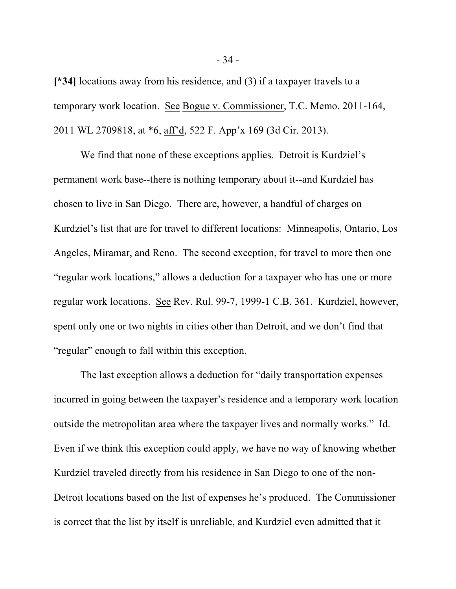**[\*34]** locations away from his residence, and (3) if a taxpayer travels to a temporary work location. See Bogue v. Commissioner, T.C. Memo. 2011-164, 2011 WL 2709818, at \*6, aff'd, 522 F. App'x 169 (3d Cir. 2013).

We find that none of these exceptions applies. Detroit is Kurdziel's permanent work base--there is nothing temporary about it--and Kurdziel has chosen to live in San Diego. There are, however, a handful of charges on Kurdziel's list that are for travel to different locations: Minneapolis, Ontario, Los Angeles, Miramar, and Reno. The second exception, for travel to more then one "regular work locations," allows a deduction for a taxpayer who has one or more regular work locations. See Rev. Rul. 99-7, 1999-1 C.B. 361. Kurdziel, however, spent only one or two nights in cities other than Detroit, and we don't find that "regular" enough to fall within this exception.

The last exception allows a deduction for "daily transportation expenses incurred in going between the taxpayer's residence and a temporary work location outside the metropolitan area where the taxpayer lives and normally works." Id. Even if we think this exception could apply, we have no way of knowing whether Kurdziel traveled directly from his residence in San Diego to one of the non-Detroit locations based on the list of expenses he's produced. The Commissioner is correct that the list by itself is unreliable, and Kurdziel even admitted that it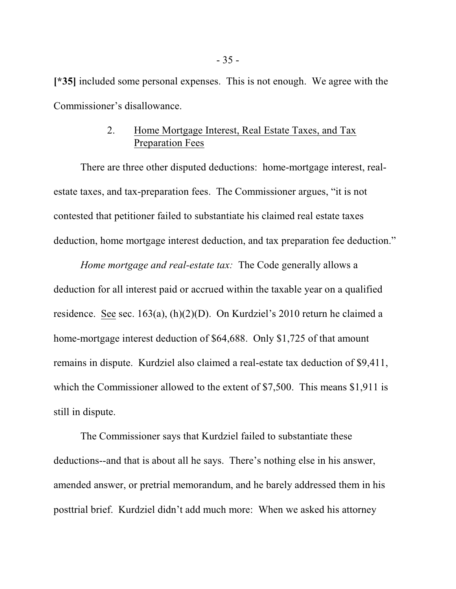**[\*35]** included some personal expenses. This is not enough. We agree with the Commissioner's disallowance.

## 2. Home Mortgage Interest, Real Estate Taxes, and Tax Preparation Fees

There are three other disputed deductions: home-mortgage interest, realestate taxes, and tax-preparation fees. The Commissioner argues, "it is not contested that petitioner failed to substantiate his claimed real estate taxes deduction, home mortgage interest deduction, and tax preparation fee deduction."

*Home mortgage and real-estate tax:* The Code generally allows a deduction for all interest paid or accrued within the taxable year on a qualified residence. See sec. 163(a), (h)(2)(D). On Kurdziel's 2010 return he claimed a home-mortgage interest deduction of \$64,688. Only \$1,725 of that amount remains in dispute. Kurdziel also claimed a real-estate tax deduction of \$9,411, which the Commissioner allowed to the extent of \$7,500. This means \$1,911 is still in dispute.

The Commissioner says that Kurdziel failed to substantiate these deductions--and that is about all he says. There's nothing else in his answer, amended answer, or pretrial memorandum, and he barely addressed them in his posttrial brief. Kurdziel didn't add much more: When we asked his attorney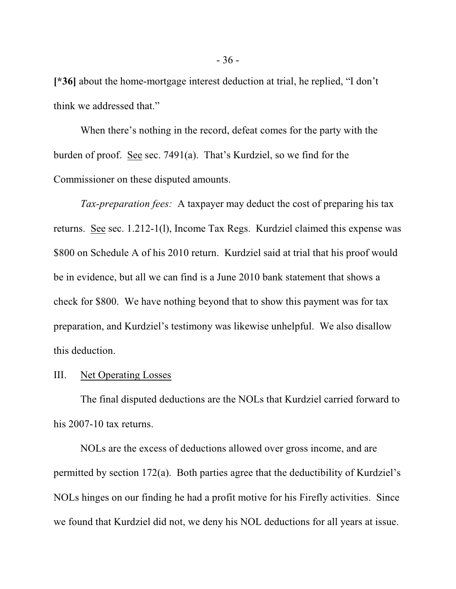**[\*36]** about the home-mortgage interest deduction at trial, he replied, "I don't think we addressed that."

When there's nothing in the record, defeat comes for the party with the burden of proof. See sec. 7491(a). That's Kurdziel, so we find for the Commissioner on these disputed amounts.

*Tax-preparation fees:* A taxpayer may deduct the cost of preparing his tax returns. See sec. 1.212-1(l), Income Tax Regs. Kurdziel claimed this expense was \$800 on Schedule A of his 2010 return. Kurdziel said at trial that his proof would be in evidence, but all we can find is a June 2010 bank statement that shows a check for \$800. We have nothing beyond that to show this payment was for tax preparation, and Kurdziel's testimony was likewise unhelpful. We also disallow this deduction.

#### III. Net Operating Losses

The final disputed deductions are the NOLs that Kurdziel carried forward to his 2007-10 tax returns.

NOLs are the excess of deductions allowed over gross income, and are permitted by section 172(a). Both parties agree that the deductibility of Kurdziel's NOLs hinges on our finding he had a profit motive for his Firefly activities. Since we found that Kurdziel did not, we deny his NOL deductions for all years at issue.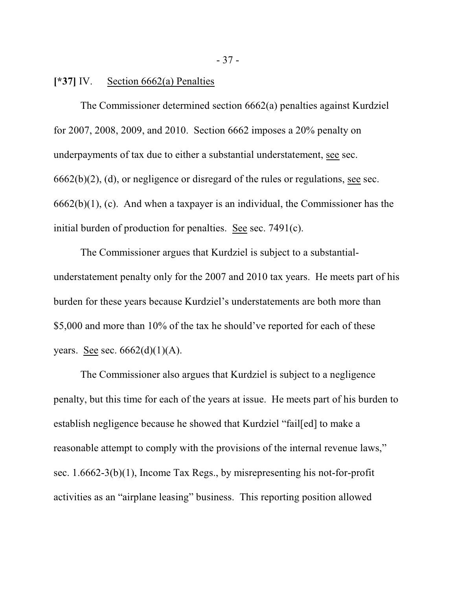#### **[\*37]** IV. Section 6662(a) Penalties

The Commissioner determined section 6662(a) penalties against Kurdziel for 2007, 2008, 2009, and 2010. Section 6662 imposes a 20% penalty on underpayments of tax due to either a substantial understatement, see sec.  $6662(b)(2)$ , (d), or negligence or disregard of the rules or regulations, see sec. 6662(b)(1), (c). And when a taxpayer is an individual, the Commissioner has the initial burden of production for penalties. See sec. 7491(c).

The Commissioner argues that Kurdziel is subject to a substantialunderstatement penalty only for the 2007 and 2010 tax years. He meets part of his burden for these years because Kurdziel's understatements are both more than \$5,000 and more than 10% of the tax he should've reported for each of these years. See sec.  $6662(d)(1)(A)$ .

The Commissioner also argues that Kurdziel is subject to a negligence penalty, but this time for each of the years at issue. He meets part of his burden to establish negligence because he showed that Kurdziel "fail[ed] to make a reasonable attempt to comply with the provisions of the internal revenue laws," sec. 1.6662-3(b)(1), Income Tax Regs., by misrepresenting his not-for-profit activities as an "airplane leasing" business. This reporting position allowed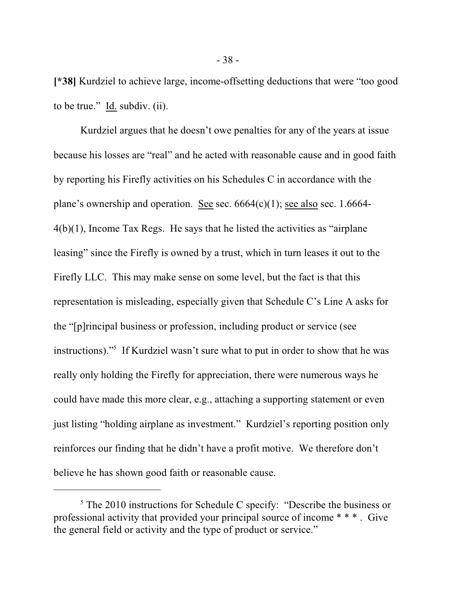**[\*38]** Kurdziel to achieve large, income-offsetting deductions that were "too good to be true." Id. subdiv. (ii).

Kurdziel argues that he doesn't owe penalties for any of the years at issue because his losses are "real" and he acted with reasonable cause and in good faith by reporting his Firefly activities on his Schedules C in accordance with the plane's ownership and operation. See sec.  $6664(c)(1)$ ; see also sec. 1.6664-4(b)(1), Income Tax Regs. He says that he listed the activities as "airplane leasing" since the Firefly is owned by a trust, which in turn leases it out to the Firefly LLC. This may make sense on some level, but the fact is that this representation is misleading, especially given that Schedule C's Line A asks for the "[p]rincipal business or profession, including product or service (see instructions)."<sup>5</sup> If Kurdziel wasn't sure what to put in order to show that he was really only holding the Firefly for appreciation, there were numerous ways he could have made this more clear, e.g., attaching a supporting statement or even just listing "holding airplane as investment." Kurdziel's reporting position only reinforces our finding that he didn't have a profit motive. We therefore don't believe he has shown good faith or reasonable cause.

<sup>&</sup>lt;sup>5</sup> The 2010 instructions for Schedule C specify: "Describe the business or professional activity that provided your principal source of income \* \* \* . Give the general field or activity and the type of product or service."